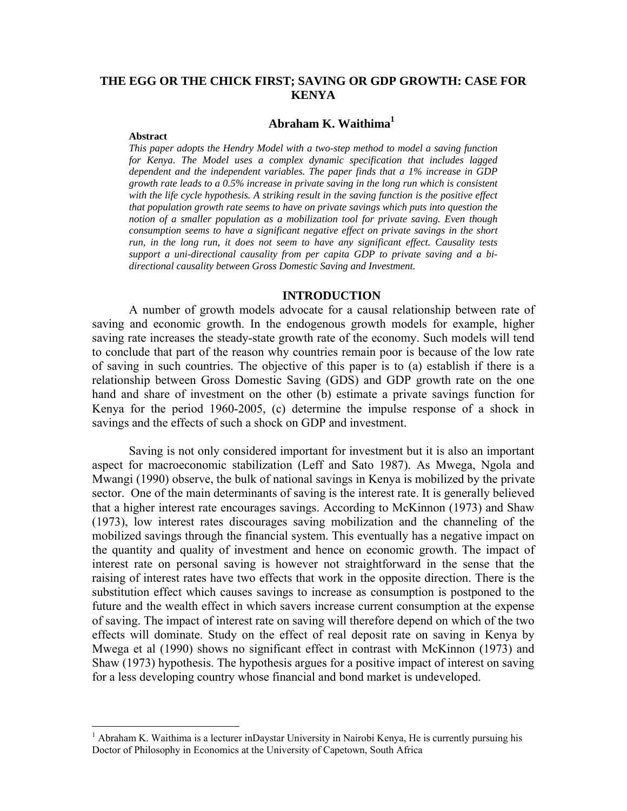## **THE EGG OR THE CHICK FIRST; SAVING OR GDP GROWTH: CASE FOR KENYA**

### **Abraham K. Waithim[a1](#page-0-0)**

#### **Abstract**

 $\overline{a}$ 

*This paper adopts the Hendry Model with a two-step method to model a saving function for Kenya. The Model uses a complex dynamic specification that includes lagged dependent and the independent variables. The paper finds that a 1% increase in GDP growth rate leads to a 0.5% increase in private saving in the long run which is consistent with the life cycle hypothesis. A striking result in the saving function is the positive effect that population growth rate seems to have on private savings which puts into question the notion of a smaller population as a mobilization tool for private saving. Even though consumption seems to have a significant negative effect on private savings in the short run, in the long run, it does not seem to have any significant effect. Causality tests support a uni-directional causality from per capita GDP to private saving and a bidirectional causality between Gross Domestic Saving and Investment.* 

### **INTRODUCTION**

A number of growth models advocate for a causal relationship between rate of saving and economic growth. In the endogenous growth models for example, higher saving rate increases the steady-state growth rate of the economy. Such models will tend to conclude that part of the reason why countries remain poor is because of the low rate of saving in such countries. The objective of this paper is to (a) establish if there is a relationship between Gross Domestic Saving (GDS) and GDP growth rate on the one hand and share of investment on the other (b) estimate a private savings function for Kenya for the period 1960-2005, (c) determine the impulse response of a shock in savings and the effects of such a shock on GDP and investment.

Saving is not only considered important for investment but it is also an important aspect for macroeconomic stabilization (Leff and Sato 1987). As Mwega, Ngola and Mwangi (1990) observe, the bulk of national savings in Kenya is mobilized by the private sector. One of the main determinants of saving is the interest rate. It is generally believed that a higher interest rate encourages savings. According to McKinnon (1973) and Shaw (1973), low interest rates discourages saving mobilization and the channeling of the mobilized savings through the financial system. This eventually has a negative impact on the quantity and quality of investment and hence on economic growth. The impact of interest rate on personal saving is however not straightforward in the sense that the raising of interest rates have two effects that work in the opposite direction. There is the substitution effect which causes savings to increase as consumption is postponed to the future and the wealth effect in which savers increase current consumption at the expense of saving. The impact of interest rate on saving will therefore depend on which of the two effects will dominate. Study on the effect of real deposit rate on saving in Kenya by Mwega et al (1990) shows no significant effect in contrast with McKinnon (1973) and Shaw (1973) hypothesis. The hypothesis argues for a positive impact of interest on saving for a less developing country whose financial and bond market is undeveloped.

<span id="page-0-0"></span><sup>&</sup>lt;sup>1</sup> Abraham K. Waithima is a lecturer inDaystar University in Nairobi Kenya, He is currently pursuing his Doctor of Philosophy in Economics at the University of Capetown, South Africa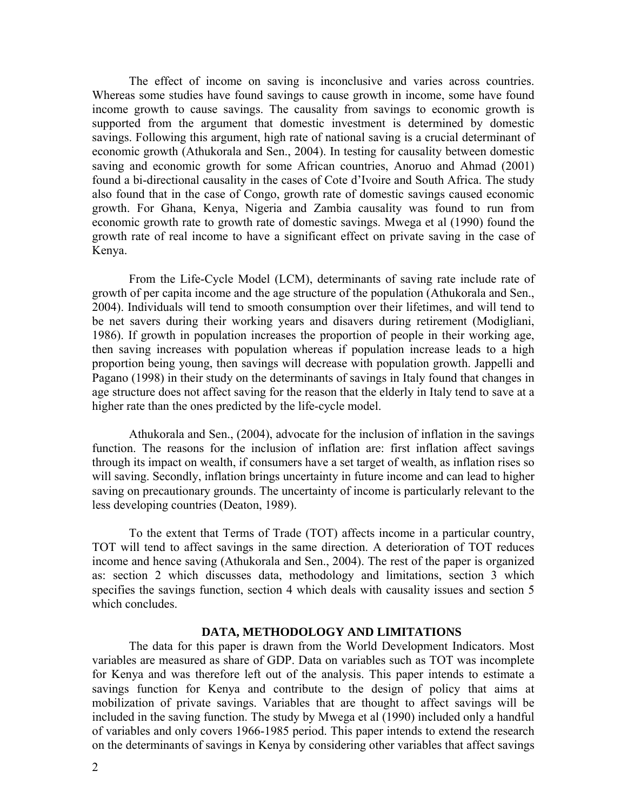The effect of income on saving is inconclusive and varies across countries. Whereas some studies have found savings to cause growth in income, some have found income growth to cause savings. The causality from savings to economic growth is supported from the argument that domestic investment is determined by domestic savings. Following this argument, high rate of national saving is a crucial determinant of economic growth (Athukorala and Sen., 2004). In testing for causality between domestic saving and economic growth for some African countries, Anoruo and Ahmad (2001) found a bi-directional causality in the cases of Cote d'Ivoire and South Africa. The study also found that in the case of Congo, growth rate of domestic savings caused economic growth. For Ghana, Kenya, Nigeria and Zambia causality was found to run from economic growth rate to growth rate of domestic savings. Mwega et al (1990) found the growth rate of real income to have a significant effect on private saving in the case of Kenya.

From the Life-Cycle Model (LCM), determinants of saving rate include rate of growth of per capita income and the age structure of the population (Athukorala and Sen., 2004). Individuals will tend to smooth consumption over their lifetimes, and will tend to be net savers during their working years and disavers during retirement (Modigliani, 1986). If growth in population increases the proportion of people in their working age, then saving increases with population whereas if population increase leads to a high proportion being young, then savings will decrease with population growth. Jappelli and Pagano (1998) in their study on the determinants of savings in Italy found that changes in age structure does not affect saving for the reason that the elderly in Italy tend to save at a higher rate than the ones predicted by the life-cycle model.

Athukorala and Sen., (2004), advocate for the inclusion of inflation in the savings function. The reasons for the inclusion of inflation are: first inflation affect savings through its impact on wealth, if consumers have a set target of wealth, as inflation rises so will saving. Secondly, inflation brings uncertainty in future income and can lead to higher saving on precautionary grounds. The uncertainty of income is particularly relevant to the less developing countries (Deaton, 1989).

To the extent that Terms of Trade (TOT) affects income in a particular country, TOT will tend to affect savings in the same direction. A deterioration of TOT reduces income and hence saving (Athukorala and Sen., 2004). The rest of the paper is organized as: section 2 which discusses data, methodology and limitations, section 3 which specifies the savings function, section 4 which deals with causality issues and section 5 which concludes.

## **DATA, METHODOLOGY AND LIMITATIONS**

The data for this paper is drawn from the World Development Indicators. Most variables are measured as share of GDP. Data on variables such as TOT was incomplete for Kenya and was therefore left out of the analysis. This paper intends to estimate a savings function for Kenya and contribute to the design of policy that aims at mobilization of private savings. Variables that are thought to affect savings will be included in the saving function. The study by Mwega et al (1990) included only a handful of variables and only covers 1966-1985 period. This paper intends to extend the research on the determinants of savings in Kenya by considering other variables that affect savings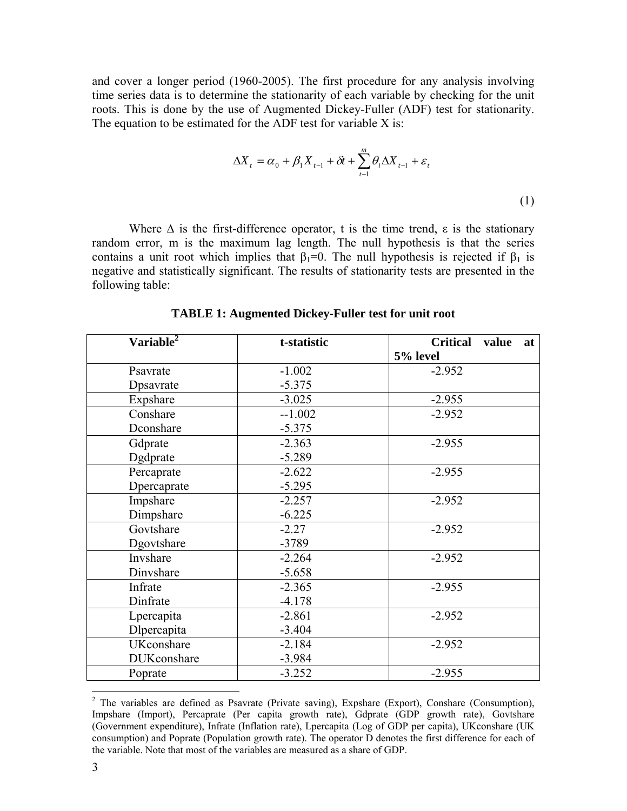and cover a longer period (1960-2005). The first procedure for any analysis involving time series data is to determine the stationarity of each variable by checking for the unit roots. This is done by the use of Augmented Dickey-Fuller (ADF) test for stationarity. The equation to be estimated for the ADF test for variable  $X$  is:

$$
\Delta X_t = \alpha_0 + \beta_1 X_{t-1} + \delta t + \sum_{t=1}^m \theta_t \Delta X_{t-1} + \varepsilon_t
$$
\n(1)

Where  $\Delta$  is the first-difference operator, t is the time trend,  $\varepsilon$  is the stationary random error, m is the maximum lag length. The null hypothesis is that the series contains a unit root which implies that  $\beta_1=0$ . The null hypothesis is rejected if  $\beta_1$  is negative and statistically significant. The results of stationarity tests are presented in the following table:

| Variable <sup>2</sup> | t-statistic | <b>Critical</b><br>value<br>at |
|-----------------------|-------------|--------------------------------|
|                       |             | 5% level                       |
| Psavrate              | $-1.002$    | $-2.952$                       |
| Dpsavrate             | $-5.375$    |                                |
| Expshare              | $-3.025$    | $-2.955$                       |
| Conshare              | $-1.002$    | $-2.952$                       |
| Dconshare             | $-5.375$    |                                |
| Gdprate               | $-2.363$    | $-2.955$                       |
| Dgdprate              | $-5.289$    |                                |
| Percaprate            | $-2.622$    | $-2.955$                       |
| Dpercaprate           | $-5.295$    |                                |
| Impshare              | $-2.257$    | $-2.952$                       |
| Dimpshare             | $-6.225$    |                                |
| Govtshare             | $-2.27$     | $-2.952$                       |
| Dgovtshare            | $-3789$     |                                |
| Invshare              | $-2.264$    | $-2.952$                       |
| Dinvshare             | $-5.658$    |                                |
| Infrate               | $-2.365$    | $-2.955$                       |
| Dinfrate              | $-4.178$    |                                |
| Lpercapita            | $-2.861$    | $-2.952$                       |
| Dlpercapita           | $-3.404$    |                                |
| UKconshare            | $-2.184$    | $-2.952$                       |
| <b>DUKconshare</b>    | $-3.984$    |                                |
| Poprate               | $-3.252$    | $-2.955$                       |

**TABLE 1: Augmented Dickey-Fuller test for unit root** 

 $\overline{a}$ 

<span id="page-2-0"></span> $2$  The variables are defined as Psavrate (Private saving), Expshare (Export), Conshare (Consumption), Impshare (Import), Percaprate (Per capita growth rate), Gdprate (GDP growth rate), Govtshare (Government expenditure), Infrate (Inflation rate), Lpercapita (Log of GDP per capita), UKconshare (UK consumption) and Poprate (Population growth rate). The operator D denotes the first difference for each of the variable. Note that most of the variables are measured as a share of GDP.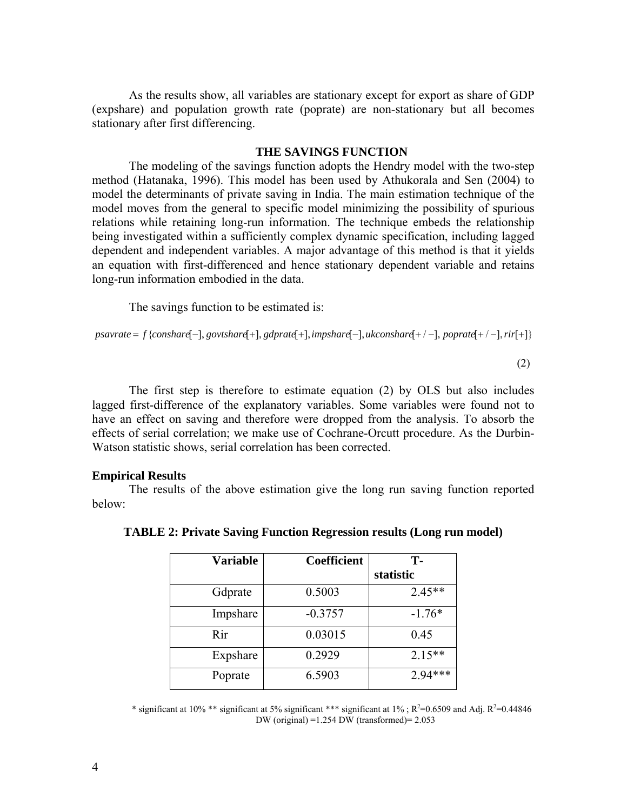As the results show, all variables are stationary except for export as share of GDP (expshare) and population growth rate (poprate) are non-stationary but all becomes stationary after first differencing.

# **THE SAVINGS FUNCTION**

The modeling of the savings function adopts the Hendry model with the two-step method (Hatanaka, 1996). This model has been used by Athukorala and Sen (2004) to model the determinants of private saving in India. The main estimation technique of the model moves from the general to specific model minimizing the possibility of spurious relations while retaining long-run information. The technique embeds the relationship being investigated within a sufficiently complex dynamic specification, including lagged dependent and independent variables. A major advantage of this method is that it yields an equation with first-differenced and hence stationary dependent variable and retains long-run information embodied in the data.

The savings function to be estimated is:

*psavrate* = *f* {*conshare*[−], *govtshare*[+], *gdprate*[+],*impshare*[−],*ukconshare*[+ / −], *poprate*[+ / −],*rir*[+]}

(2)

The first step is therefore to estimate equation (2) by OLS but also includes lagged first-difference of the explanatory variables. Some variables were found not to have an effect on saving and therefore were dropped from the analysis. To absorb the effects of serial correlation; we make use of Cochrane-Orcutt procedure. As the Durbin-Watson statistic shows, serial correlation has been corrected.

### **Empirical Results**

The results of the above estimation give the long run saving function reported below:

| <b>Variable</b> | <b>Coefficient</b> | <b>T</b> -<br>statistic |
|-----------------|--------------------|-------------------------|
| Gdprate         | 0.5003             | $2.45**$                |
| Impshare        | $-0.3757$          | $-1.76*$                |
| Rir             | 0.03015            | 0.45                    |
| Expshare        | 0.2929             | $2.15**$                |
| Poprate         | 6.5903             | 2.94***                 |

**TABLE 2: Private Saving Function Regression results (Long run model)** 

\* significant at 10% \*\* significant at 5% significant \*\*\* significant at 1%;  $R^2$ =0.6509 and Adj.  $R^2$ =0.44846 DW (original) =1.254 DW (transformed)= 2.053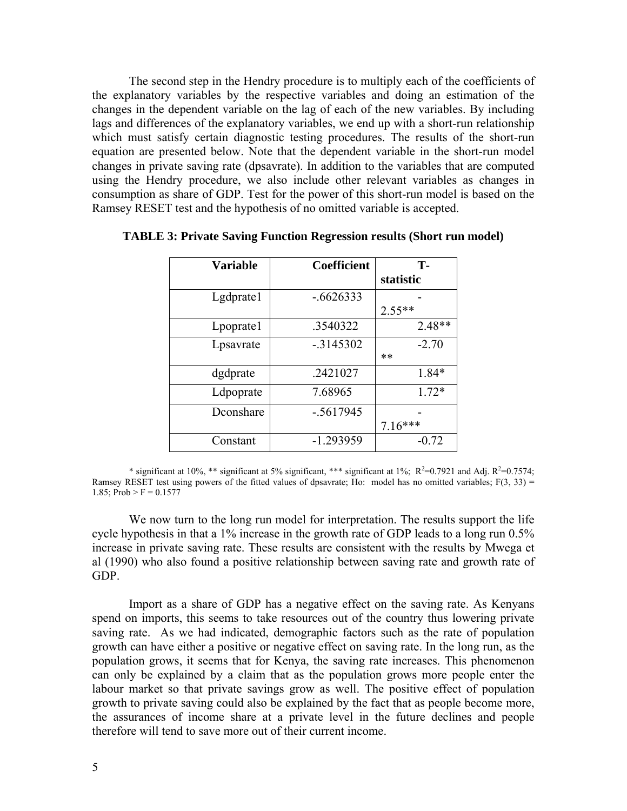The second step in the Hendry procedure is to multiply each of the coefficients of the explanatory variables by the respective variables and doing an estimation of the changes in the dependent variable on the lag of each of the new variables. By including lags and differences of the explanatory variables, we end up with a short-run relationship which must satisfy certain diagnostic testing procedures. The results of the short-run equation are presented below. Note that the dependent variable in the short-run model changes in private saving rate (dpsavrate). In addition to the variables that are computed using the Hendry procedure, we also include other relevant variables as changes in consumption as share of GDP. Test for the power of this short-run model is based on the Ramsey RESET test and the hypothesis of no omitted variable is accepted.

| <b>Variable</b> | <b>Coefficient</b> | Т-        |
|-----------------|--------------------|-----------|
|                 |                    | statistic |
| Lgdprate1       | $-.6626333$        |           |
|                 |                    | $2.55**$  |
| Lpoprate1       | .3540322           | $2.48**$  |
| Lpsavrate       | $-0.3145302$       | $-2.70$   |
|                 |                    | $***$     |
| dgdprate        | .2421027           | $1.84*$   |
| Ldpoprate       | 7.68965            | $1.72*$   |
| Dconshare       | $-.5617945$        |           |
|                 |                    | $7.16***$ |
| Constant        | $-1.293959$        | $-0.72$   |

**TABLE 3: Private Saving Function Regression results (Short run model)** 

\* significant at 10%, \*\* significant at 5% significant, \*\*\* significant at 1%;  $R^2=0.7921$  and Adj.  $R^2=0.7574$ ; Ramsey RESET test using powers of the fitted values of dpsavrate; Ho: model has no omitted variables;  $F(3, 33) =$ 1.85; Prob  $>$  F = 0.1577

We now turn to the long run model for interpretation. The results support the life cycle hypothesis in that a 1% increase in the growth rate of GDP leads to a long run 0.5% increase in private saving rate. These results are consistent with the results by Mwega et al (1990) who also found a positive relationship between saving rate and growth rate of GDP.

Import as a share of GDP has a negative effect on the saving rate. As Kenyans spend on imports, this seems to take resources out of the country thus lowering private saving rate. As we had indicated, demographic factors such as the rate of population growth can have either a positive or negative effect on saving rate. In the long run, as the population grows, it seems that for Kenya, the saving rate increases. This phenomenon can only be explained by a claim that as the population grows more people enter the labour market so that private savings grow as well. The positive effect of population growth to private saving could also be explained by the fact that as people become more, the assurances of income share at a private level in the future declines and people therefore will tend to save more out of their current income.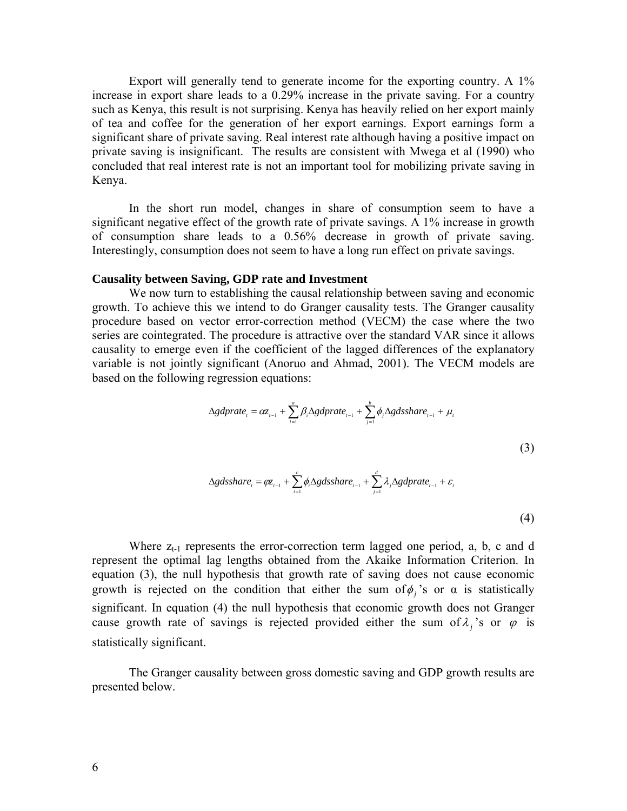Export will generally tend to generate income for the exporting country. A 1% increase in export share leads to a 0.29% increase in the private saving. For a country such as Kenya, this result is not surprising. Kenya has heavily relied on her export mainly of tea and coffee for the generation of her export earnings. Export earnings form a significant share of private saving. Real interest rate although having a positive impact on private saving is insignificant. The results are consistent with Mwega et al (1990) who concluded that real interest rate is not an important tool for mobilizing private saving in Kenya.

In the short run model, changes in share of consumption seem to have a significant negative effect of the growth rate of private savings. A 1% increase in growth of consumption share leads to a 0.56% decrease in growth of private saving. Interestingly, consumption does not seem to have a long run effect on private savings.

#### **Causality between Saving, GDP rate and Investment**

We now turn to establishing the causal relationship between saving and economic growth. To achieve this we intend to do Granger causality tests. The Granger causality procedure based on vector error-correction method (VECM) the case where the two series are cointegrated. The procedure is attractive over the standard VAR since it allows causality to emerge even if the coefficient of the lagged differences of the explanatory variable is not jointly significant (Anoruo and Ahmad, 2001). The VECM models are based on the following regression equations:

$$
\Delta gdprate_{i} = \alpha z_{i-1} + \sum_{i=1}^{a} \beta_{i} \Delta gdprate_{i-1} + \sum_{j=1}^{b} \phi_{j} \Delta gdsshare_{i-1} + \mu_{i}
$$
\n(3)

$$
\Delta g dsshare_{t} = \varphi z_{t-1} + \sum_{i=1}^{c} \phi_{i} \Delta g ds share_{t-1} + \sum_{j=1}^{a} \lambda_{j} \Delta g dprate_{t-1} + \varepsilon_{t}
$$
\n
$$
\tag{4}
$$

Where  $z_{t-1}$  represents the error-correction term lagged one period, a, b, c and d represent the optimal lag lengths obtained from the Akaike Information Criterion. In equation (3), the null hypothesis that growth rate of saving does not cause economic growth is rejected on the condition that either the sum of  $\phi$ , 's or  $\alpha$  is statistically significant. In equation (4) the null hypothesis that economic growth does not Granger cause growth rate of savings is rejected provided either the sum of  $\lambda_i$ 's or  $\varphi$  is statistically significant.

The Granger causality between gross domestic saving and GDP growth results are presented below.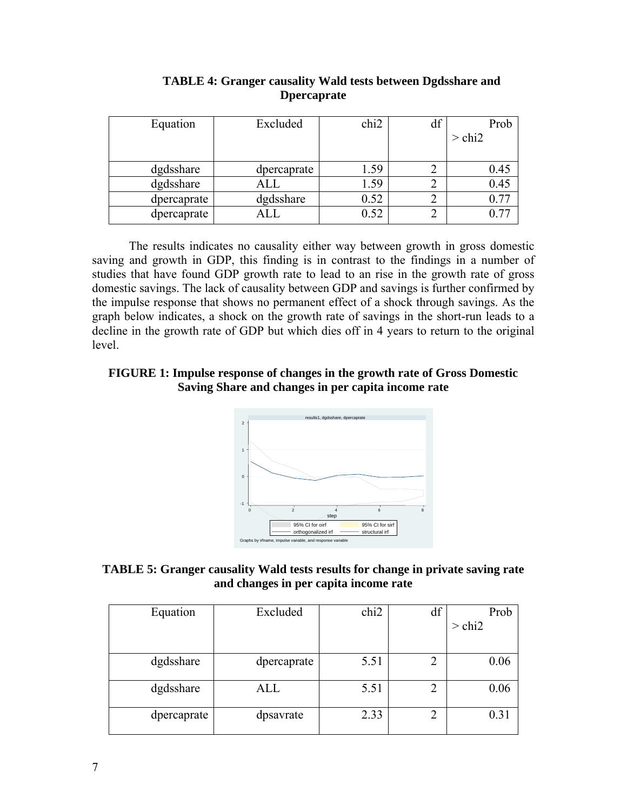| Equation    | Excluded    | chi <sub>2</sub> | df | Prob     |
|-------------|-------------|------------------|----|----------|
|             |             |                  |    | $>$ chi2 |
|             |             |                  |    |          |
| dgdsshare   | dpercaprate | 1.59             |    | 0.45     |
| dgdsshare   | ALL         | 1.59             |    | 0.45     |
| dpercaprate | dgdsshare   | 0.52             |    | 0.77     |
| dpercaprate | ALL         | 0.52             |    |          |

**TABLE 4: Granger causality Wald tests between Dgdsshare and Dpercaprate** 

The results indicates no causality either way between growth in gross domestic saving and growth in GDP, this finding is in contrast to the findings in a number of studies that have found GDP growth rate to lead to an rise in the growth rate of gross domestic savings. The lack of causality between GDP and savings is further confirmed by the impulse response that shows no permanent effect of a shock through savings. As the graph below indicates, a shock on the growth rate of savings in the short-run leads to a decline in the growth rate of GDP but which dies off in 4 years to return to the original level.

# **FIGURE 1: Impulse response of changes in the growth rate of Gross Domestic Saving Share and changes in per capita income rate**



# **TABLE 5: Granger causality Wald tests results for change in private saving rate and changes in per capita income rate**

| Equation    | Excluded    | chi <sub>2</sub> | df             | Prob     |
|-------------|-------------|------------------|----------------|----------|
|             |             |                  |                | $>$ chi2 |
|             |             |                  |                |          |
| dgdsshare   | dpercaprate | 5.51             | 2              | 0.06     |
| dgdsshare   | ALL         | 5.51             | $\overline{2}$ | 0.06     |
| dpercaprate | dpsavrate   | 2.33             | $\overline{2}$ | 0.31     |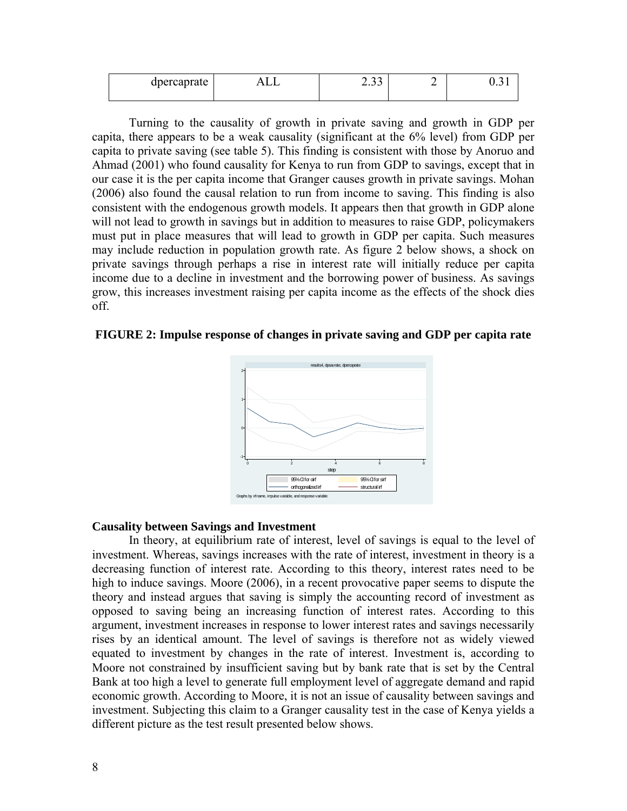| dpercaprate | $\sim$ $\sim$<br>ر | --<br>$\overline{\phantom{0}}$ | ◡.◡ |
|-------------|--------------------|--------------------------------|-----|
|             |                    |                                |     |

Turning to the causality of growth in private saving and growth in GDP per capita, there appears to be a weak causality (significant at the 6% level) from GDP per capita to private saving (see table 5). This finding is consistent with those by Anoruo and Ahmad (2001) who found causality for Kenya to run from GDP to savings, except that in our case it is the per capita income that Granger causes growth in private savings. Mohan (2006) also found the causal relation to run from income to saving. This finding is also consistent with the endogenous growth models. It appears then that growth in GDP alone will not lead to growth in savings but in addition to measures to raise GDP, policymakers must put in place measures that will lead to growth in GDP per capita. Such measures may include reduction in population growth rate. As figure 2 below shows, a shock on private savings through perhaps a rise in interest rate will initially reduce per capita income due to a decline in investment and the borrowing power of business. As savings grow, this increases investment raising per capita income as the effects of the shock dies off.

## **FIGURE 2: Impulse response of changes in private saving and GDP per capita rate**



## **Causality between Savings and Investment**

In theory, at equilibrium rate of interest, level of savings is equal to the level of investment. Whereas, savings increases with the rate of interest, investment in theory is a decreasing function of interest rate. According to this theory, interest rates need to be high to induce savings. Moore (2006), in a recent provocative paper seems to dispute the theory and instead argues that saving is simply the accounting record of investment as opposed to saving being an increasing function of interest rates. According to this argument, investment increases in response to lower interest rates and savings necessarily rises by an identical amount. The level of savings is therefore not as widely viewed equated to investment by changes in the rate of interest. Investment is, according to Moore not constrained by insufficient saving but by bank rate that is set by the Central Bank at too high a level to generate full employment level of aggregate demand and rapid economic growth. According to Moore, it is not an issue of causality between savings and investment. Subjecting this claim to a Granger causality test in the case of Kenya yields a different picture as the test result presented below shows.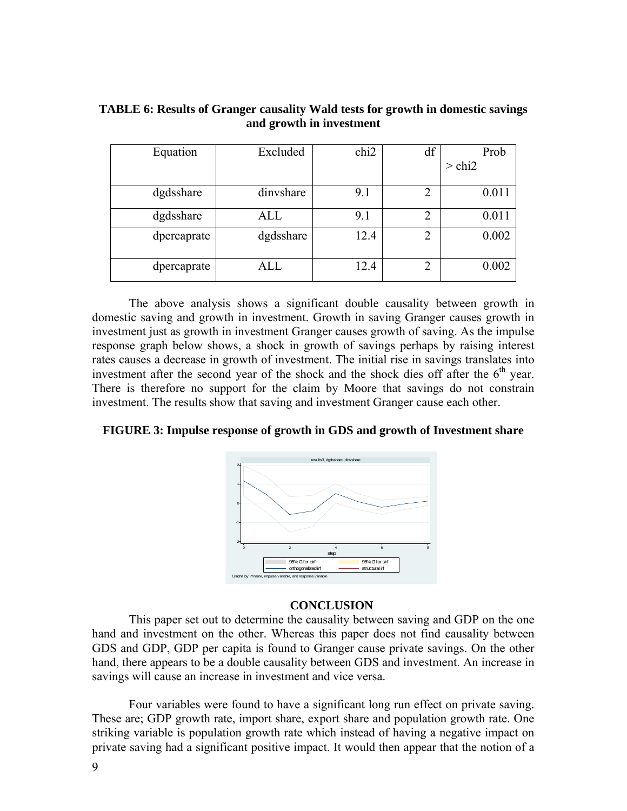| Equation    | Excluded   | chi <sub>2</sub> | df             | Prob     |
|-------------|------------|------------------|----------------|----------|
|             |            |                  |                | $>$ chi2 |
|             | dinvshare  | 9.1              | $\overline{2}$ | 0.011    |
| dgdsshare   |            |                  |                |          |
| dgdsshare   | <b>ALL</b> | 9.1              | $\overline{2}$ | 0.011    |
| dpercaprate | dgdsshare  | 12.4             | $\overline{2}$ | 0.002    |
|             |            |                  |                |          |
| dpercaprate | ALL        | 12.4             | $\overline{2}$ | 0.002    |
|             |            |                  |                |          |

# **TABLE 6: Results of Granger causality Wald tests for growth in domestic savings and growth in investment**

The above analysis shows a significant double causality between growth in domestic saving and growth in investment. Growth in saving Granger causes growth in investment just as growth in investment Granger causes growth of saving. As the impulse response graph below shows, a shock in growth of savings perhaps by raising interest rates causes a decrease in growth of investment. The initial rise in savings translates into investment after the second year of the shock and the shock dies off after the  $6<sup>th</sup>$  year. There is therefore no support for the claim by Moore that savings do not constrain investment. The results show that saving and investment Granger cause each other.

## **FIGURE 3: Impulse response of growth in GDS and growth of Investment share**



### **CONCLUSION**

This paper set out to determine the causality between saving and GDP on the one hand and investment on the other. Whereas this paper does not find causality between GDS and GDP, GDP per capita is found to Granger cause private savings. On the other hand, there appears to be a double causality between GDS and investment. An increase in savings will cause an increase in investment and vice versa.

Four variables were found to have a significant long run effect on private saving. These are; GDP growth rate, import share, export share and population growth rate. One striking variable is population growth rate which instead of having a negative impact on private saving had a significant positive impact. It would then appear that the notion of a